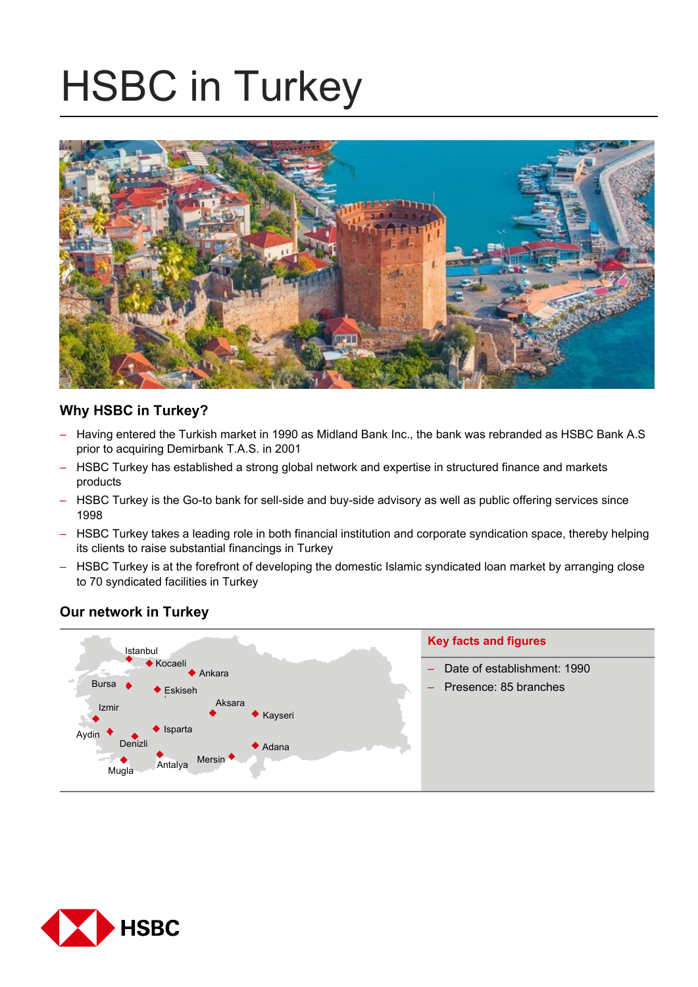# HSBC in Turkey



# **Why HSBC in Turkey?**

- Having entered the Turkish market in 1990 as Midland Bank Inc., the bank was rebranded as HSBC Bank A.S prior to acquiring Demirbank T.A.S. in 2001
- HSBC Turkey has established a strong global network and expertise in structured finance and markets products
- HSBC Turkey is the Go-to bank for sell-side and buy-side advisory as well as public offering services since 1998
- HSBC Turkey takes a leading role in both financial institution and corporate syndication space, thereby helping its clients to raise substantial financings in Turkey
- HSBC Turkey is at the forefront of developing the domestic Islamic syndicated loan market by arranging close to 70 syndicated facilities in Turkey

# **Our network in Turkey**